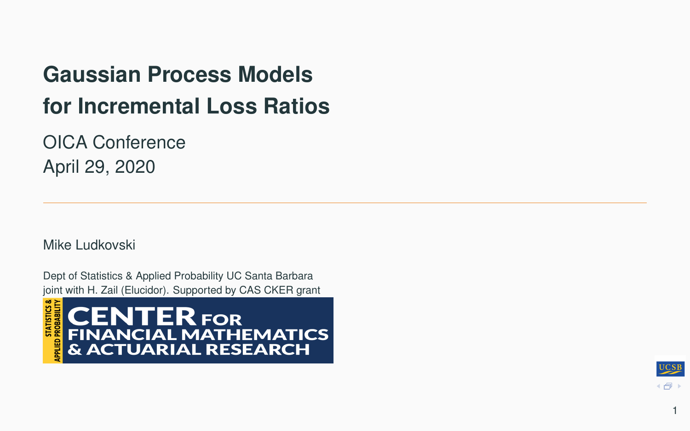# **Gaussian Process Models for Incremental Loss Ratios**

OICA Conference April 29, 2020

Mike Ludkovski

Dept of Statistics & Applied Probability UC Santa Barbara joint with H. Zail (Elucidor). Supported by CAS CKER grant



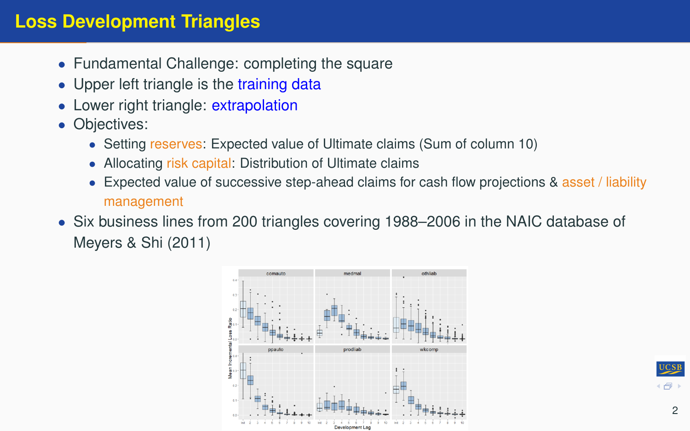### **Loss Development Triangles**

- Fundamental Challenge: completing the square
- Upper left triangle is the training data
- Lower right triangle: extrapolation
- Objectives:
	- Setting reserves: Expected value of Ultimate claims (Sum of column 10)
	- Allocating risk capital: Distribution of Ultimate claims
	- Expected value of successive step-ahead claims for cash flow projections & asset / liability management
- Six business lines from 200 triangles covering 1988–2006 in the NAIC database of Meyers & Shi (2011)



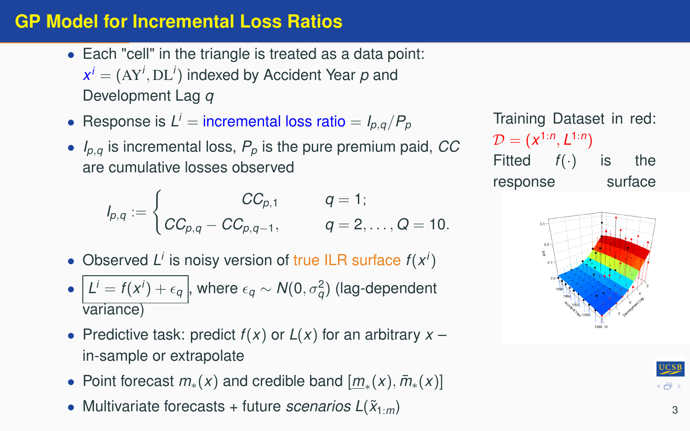## **GP Model for Incremental Loss Ratios**

- Each "cell" in the triangle is treated as a data point:  $x^{i} = (AY^{i}, DL^{i})$  indexed by Accident Year  $p$  and Development Lag *q*
- Response is  $L^i$  = incremental loss ratio =  $I_{p,q}/P_p$
- $I_{p,q}$  is incremental loss,  $P_p$  is the pure premium paid, CC are cumulative losses observed

$$
I_{p,q} := \begin{cases} CC_{p,1} & q = 1; \\ CC_{p,q} - CC_{p,q-1}, & q = 2, ..., Q = 10. \end{cases}
$$

- Observed  $L^i$  is noisy version of true ILR surface  $f(x^i)$
- $\bullet$   $\left| L^i = f(x^i) + \epsilon_q \right|$ , where  $\epsilon_q \sim \mathcal{N}(0, \sigma_q^2)$  (lag-dependent variance)
- Predictive task: predict  $f(x)$  or  $L(x)$  for an arbitrary  $x$ in-sample or extrapolate
- Point forecast  $m_*(x)$  and credible band  $[\underline{m}_*(x), \overline{m}_*(x)]$
- Multivariate forecasts + future *scenarios*  $L(\tilde{x}_{1:m})$

Training Dataset in red:  $\mathcal{D}=(x^{1:n},L^{1:n})$ Fitted *f*(·) is the response surface



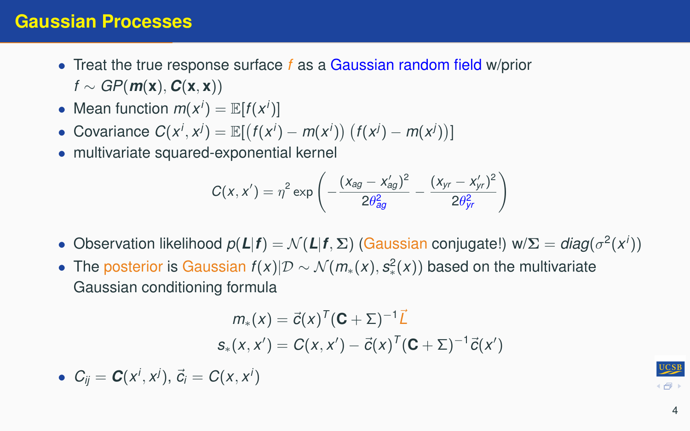- Treat the true response surface *f* as a Gaussian random field w/prior  $f \sim GP(m(x), C(x, x))$
- Mean function  $m(x^i) = \mathbb{E}[f(x^i)]$
- Covariance  $C(x^i, x^j) = \mathbb{E}[(f(x^i) m(x^i)) (f(x^j) m(x^j))]$
- multivariate squared-exponential kernel

$$
C(x, x') = \eta^2 \exp \left(-\frac{(x_{ag} - x'_{ag})^2}{2\theta_{ag}^2} - \frac{(x_{yr} - x'_{yr})^2}{2\theta_{yr}^2}\right)
$$

- Observation likelihood  $p(L|f) = \mathcal{N}(L|f, \Sigma)$  (Gaussian conjugate!) w/ $\Sigma = diag(\sigma^2(x^i))$
- The posterior is Gaussian *f*(*x*)|D ∼ N (*m*∗(*x*), *s* 2 ∗ (*x*)) based on the multivariate Gaussian conditioning formula

$$
m_*(x) = \vec{c}(x)^T (\mathbf{C} + \Sigma)^{-1} \vec{L}
$$
  

$$
s_*(x, x') = C(x, x') - \vec{c}(x)^T (\mathbf{C} + \Sigma)^{-1} \vec{c}(x')
$$

•  $C_{ij} = C(x^i, x^j), \ \vec{c}_i = C(x, x^i)$ 

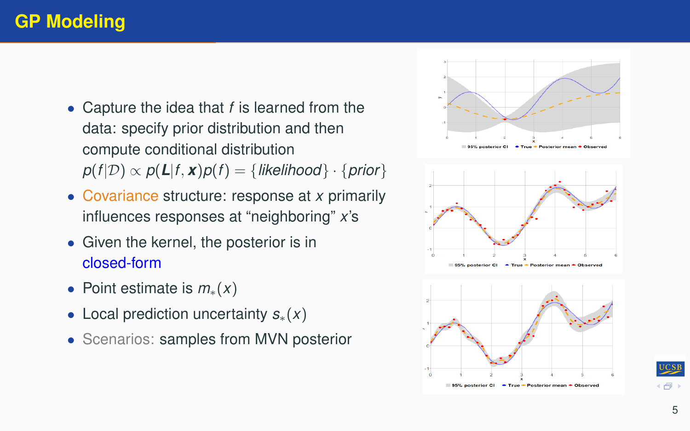# **GP Modeling**

- Capture the idea that *f* is learned from the data: specify prior distribution and then compute conditional distribution  $p(f|\mathcal{D}) \propto p(\mathbf{L}|f, \mathbf{x})p(f) = \{likelihood\} \cdot \{prior\}$
- Covariance structure: response at *x* primarily influences responses at "neighboring" *x*'s
- Given the kernel, the posterior is in closed-form
- Point estimate is *m*∗(*x*)
- Local prediction uncertainty *s*∗(*x*)
- Scenarios: samples from MVN posterior





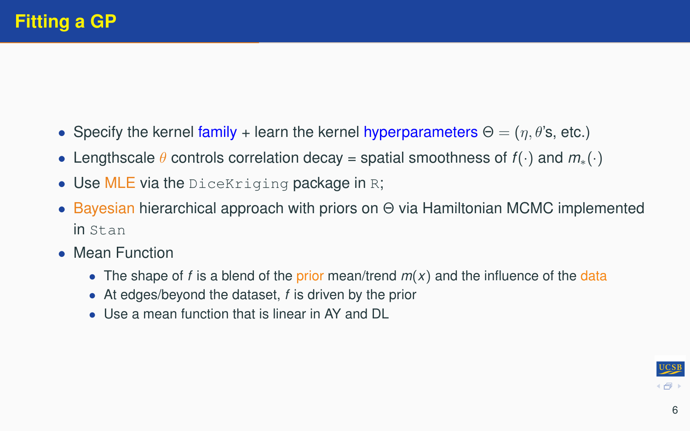- Specify the kernel family + learn the kernel hyperparameters  $\Theta = (n, \theta)$ 's, etc.)
- Lengthscale θ controls correlation decay = spatial smoothness of *f*(·) and *m*∗(·)
- Use MLE via the DiceKriging package in R;
- Bayesian hierarchical approach with priors on Θ via Hamiltonian MCMC implemented in Stan
- Mean Function
	- The shape of *f* is a blend of the prior mean/trend  $m(x)$  and the influence of the data
	- At edges/beyond the dataset, *f* is driven by the prior
	- Use a mean function that is linear in AY and DL

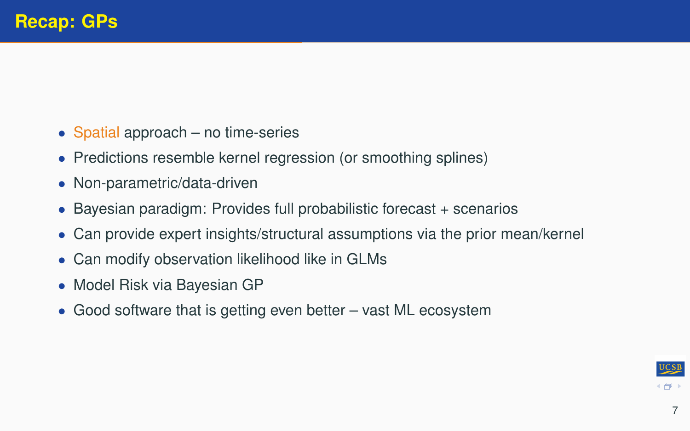- Spatial approach no time-series
- Predictions resemble kernel regression (or smoothing splines)
- Non-parametric/data-driven
- Bayesian paradigm: Provides full probabilistic forecast + scenarios
- Can provide expert insights/structural assumptions via the prior mean/kernel
- Can modify observation likelihood like in GLMs
- Model Risk via Bayesian GP
- Good software that is getting even better vast ML ecosystem

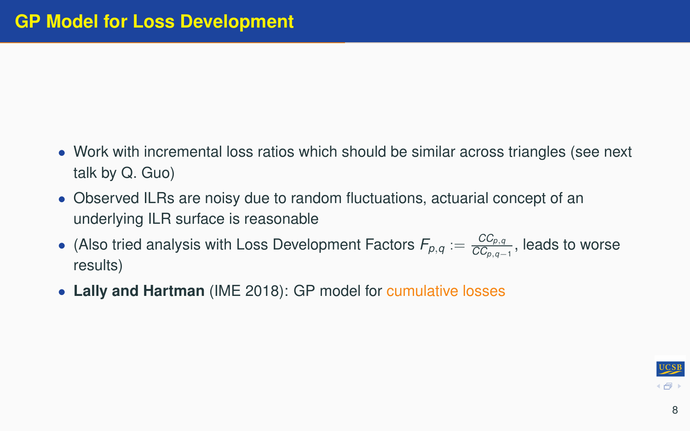- Work with incremental loss ratios which should be similar across triangles (see next talk by Q. Guo)
- Observed ILRs are noisy due to random fluctuations, actuarial concept of an underlying ILR surface is reasonable
- (Also tried analysis with Loss Development Factors  $F_{p,q} := \frac{CC_{p,q}}{CC_{p,q}}$ *CCp*,*q*−<sup>1</sup> , leads to worse results)
- **Lally and Hartman** (IME 2018): GP model for cumulative losses

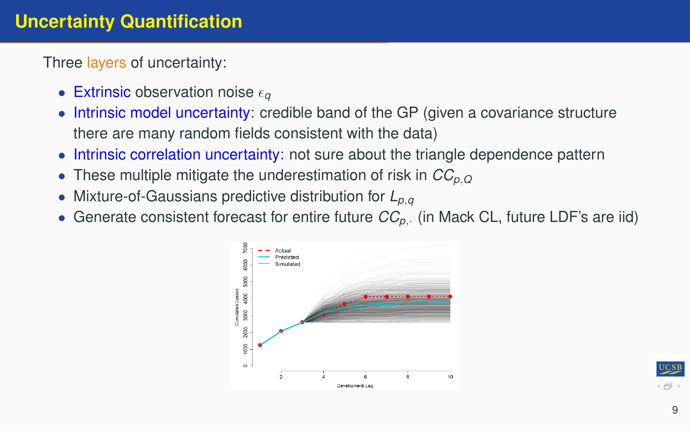## **Uncertainty Quantification**

Three layers of uncertainty:

- Extrinsic observation noise  $\epsilon_{\alpha}$
- Intrinsic model uncertainty: credible band of the GP (given a covariance structure there are many random fields consistent with the data)
- Intrinsic correlation uncertainty: not sure about the triangle dependence pattern
- These multiple mitigate the underestimation of risk in *CCp*,*<sup>Q</sup>*
- Mixture-of-Gaussians predictive distribution for *Lp*,*<sup>q</sup>*
- Generate consistent forecast for entire future  $CC_{p}$ . (in Mack CL, future LDF's are iid)



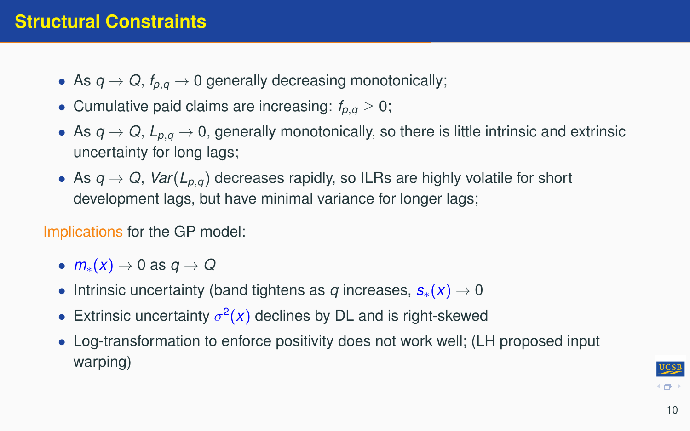## **Structural Constraints**

- As  $q \rightarrow Q$ ,  $f_{p,q} \rightarrow 0$  generally decreasing monotonically;
- Cumulative paid claims are increasing:  $f_{p,q} \geq 0$ ;
- As  $q \to Q$ ,  $L_{p,q} \to 0$ , generally monotonically, so there is little intrinsic and extrinsic uncertainty for long lags;
- As  $q \rightarrow Q$ ,  $Var(L_{p,q})$  decreases rapidly, so ILRs are highly volatile for short development lags, but have minimal variance for longer lags;

Implications for the GP model:

- $m_*(x) \to 0$  as  $q \to Q$
- Intrinsic uncertainty (band tightens as *q* increases, *s*∗(*x*) → 0
- Extrinsic uncertainty  $\sigma^2(x)$  declines by DL and is right-skewed
- Log-transformation to enforce positivity does not work well; (LH proposed input warping)

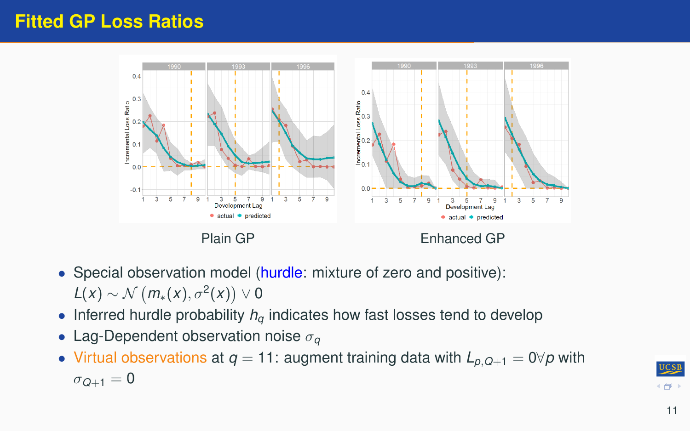#### **Fitted GP Loss Ratios**



- Special observation model (hurdle: mixture of zero and positive):  $L(x) \sim \mathcal{N}\left(m_*(x), \sigma^2(x)\right) \vee 0$
- Inferred hurdle probability  $h_q$  indicates how fast losses tend to develop
- Lag-Dependent observation noise σ*<sup>q</sup>*
- Virtual observations at  $q = 11$ : augment training data with  $L_{p,Q+1} = 0 \forall p$  with  $\sigma$ <sub>O+1</sub> = 0

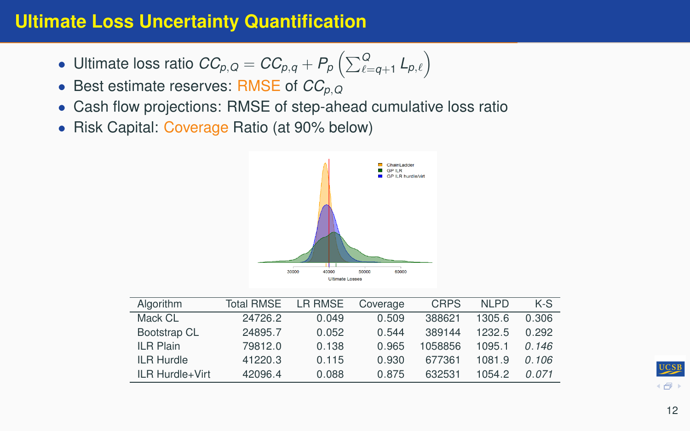## **Ultimate Loss Uncertainty Quantification**

- Ultimate loss ratio  $\mathit{CC}_{\rho, Q} = \mathit{CC}_{\rho, q} + \mathit{P}_{\rho}\left(\sum_{\ell=q+1}^{Q}\mathit{L}_{\rho, \ell}\right)$
- Best estimate reserves: RMSE of *CCp*,*<sup>Q</sup>*
- Cash flow projections: RMSE of step-ahead cumulative loss ratio
- Risk Capital: Coverage Ratio (at 90% below)



| Algorithm         | <b>Total RMSE</b> | LR RMSE | Coverage | <b>CRPS</b> | NI PD  | $K-S$ |
|-------------------|-------------------|---------|----------|-------------|--------|-------|
| Mack CL           | 24726.2           | 0.049   | 0.509    | 388621      | 1305.6 | 0.306 |
| Bootstrap CL      | 24895.7           | 0.052   | 0.544    | 389144      | 1232.5 | 0.292 |
| <b>ILR Plain</b>  | 79812.0           | 0.138   | 0.965    | 1058856     | 1095.1 | 0.146 |
| <b>ILR Hurdle</b> | 41220.3           | 0.115   | 0.930    | 677361      | 1081.9 | 0.106 |
| ILR Hurdle+Virt   | 42096.4           | 0.088   | 0.875    | 632531      | 1054.2 | 0.071 |

 $(5)$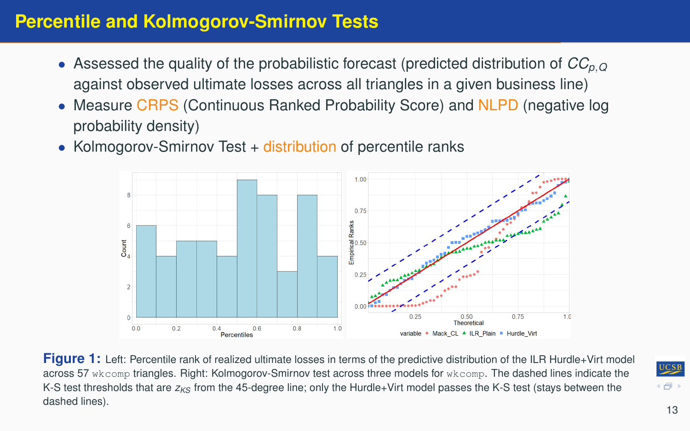## **Percentile and Kolmogorov-Smirnov Tests**

- Assessed the quality of the probabilistic forecast (predicted distribution of *CCp*,*<sup>Q</sup>* against observed ultimate losses across all triangles in a given business line)
- Measure CRPS (Continuous Ranked Probability Score) and NLPD (negative log probability density)
- Kolmogorov-Smirnov Test + distribution of percentile ranks



Figure 1: Left: Percentile rank of realized ultimate losses in terms of the predictive distribution of the ILR Hurdle+Virt model across 57 wkcomp triangles. Right: Kolmogorov-Smirnov test across three models for wkcomp. The dashed lines indicate the K-S test thresholds that are  $z_{K<sub>S</sub>}$  from the 45-degree line; only the Hurdle+Virt model passes the K-S test (stays between the dashed lines).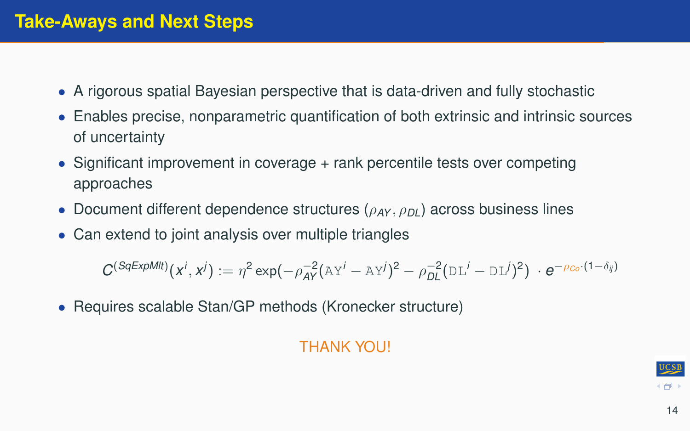### **Take-Aways and Next Steps**

- A rigorous spatial Bayesian perspective that is data-driven and fully stochastic
- Enables precise, nonparametric quantification of both extrinsic and intrinsic sources of uncertainty
- Significant improvement in coverage + rank percentile tests over competing approaches
- Document different dependence structures ( $ρ<sub>AY</sub>, ρ<sub>DI</sub>$ ) across business lines
- Can extend to joint analysis over multiple triangles

 $C^{(SqExpMlt)}(x^i, x^j) := \eta^2 \exp(-\rho_{AY}^{-2}(\Delta Y^i - \Delta Y^j)^2 - \rho_{DL}^{-2}(\text{DL}^i - \text{DL}^j)^2) \cdot e^{-\rho_{Co} \cdot (1 - \delta_{ij})}$ 

• Requires scalable Stan/GP methods (Kronecker structure)

#### THANK YOU!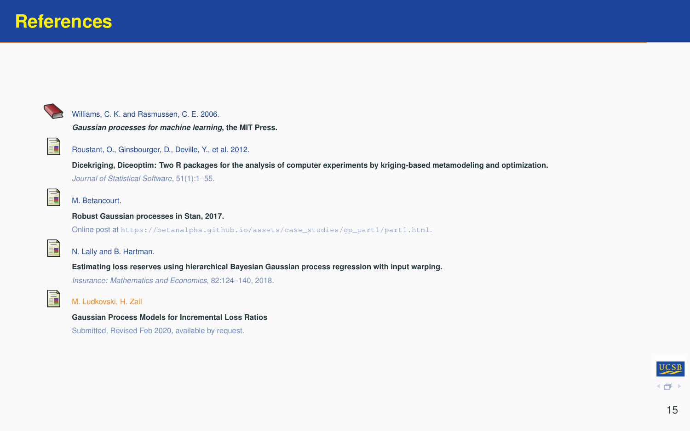#### **References**



#### Williams, C. K. and Rasmussen, C. E. 2006.

*Gaussian processes for machine learning***, the MIT Press.**



#### Roustant, O., Ginsbourger, D., Deville, Y., et al. 2012.

**Dicekriging, Diceoptim: Two R packages for the analysis of computer experiments by kriging-based metamodeling and optimization.** *Journal of Statistical Software*, 51(1):1–55.



#### M. Betancourt.

#### **Robust Gaussian processes in Stan, 2017.**

Online post at [https://betanalpha.github.io/assets/case\\_studies/gp\\_part1/part1.html](https://betanalpha.github.io/assets/case_studies/gp_part1/part1.html).



#### N. Lally and B. Hartman.

**Estimating loss reserves using hierarchical Bayesian Gaussian process regression with input warping.**

*Insurance: Mathematics and Economics*, 82:124–140, 2018.



#### M. Ludkovski, H. Zail

**Gaussian Process Models for Incremental Loss Ratios**

Submitted, Revised Feb 2020, available by request.